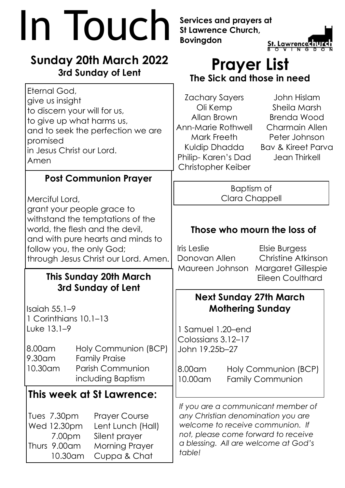| In Iouch                                                                                                                                                                                                                                     | Services and prayers at<br><b>St Lawrence Church,</b><br><b>Bovingdon</b><br><b>St. Lawrence</b>                                                                                                                                                                                |
|----------------------------------------------------------------------------------------------------------------------------------------------------------------------------------------------------------------------------------------------|---------------------------------------------------------------------------------------------------------------------------------------------------------------------------------------------------------------------------------------------------------------------------------|
| <b>Sunday 20th March 2022</b><br>3rd Sunday of Lent                                                                                                                                                                                          | <b>Prayer List</b><br>The Sick and those in need                                                                                                                                                                                                                                |
| Eternal God,<br>give us insight<br>to discern your will for us,<br>to give up what harms us,<br>and to seek the perfection we are<br>promised<br>in Jesus Christ our Lord.<br>Amen                                                           | Zachary Sayers<br>John Hislam<br>Sheila Marsh<br>Oli Kemp<br>Allan Brown<br><b>Brenda Wood</b><br>Ann-Marie Rothwell<br><b>Charmain Allen</b><br>Mark Freeth<br>Peter Johnson<br>Kuldip Dhadda Bav & Kireet Parva<br>Philip- Karen's Dad<br>Jean Thirkell<br>Christopher Keiber |
| <b>Post Communion Prayer</b>                                                                                                                                                                                                                 | Baptism of                                                                                                                                                                                                                                                                      |
| Merciful Lord,                                                                                                                                                                                                                               | Clara Chappell                                                                                                                                                                                                                                                                  |
| grant your people grace to<br>withstand the temptations of the<br>world, the flesh and the devil,<br>and with pure hearts and minds to<br>follow you, the only God;<br>through Jesus Christ our Lord. Amen.<br><b>This Sunday 20th March</b> | Those who mourn the loss of<br>Iris Leslie<br>Elsie Burgess<br>Christine Atkinson<br>Donovan Allen<br>Maureen Johnson Margaret Gillespie<br><b>Eileen Coulthard</b>                                                                                                             |
| 3rd Sunday of Lent<br>Isaiah $55.1-9$<br>1 Corinthians 10.1-13<br>Luke 13.1-9<br>Holy Communion (BCP)<br>8.00am<br>9.30am<br><b>Family Praise</b>                                                                                            | <b>Next Sunday 27th March</b><br><b>Mothering Sunday</b><br>1 Samuel 1.20-end<br>Colossians 3.12-17<br>John 19.25b-27                                                                                                                                                           |
| <b>Parish Communion</b><br>10.30am<br>including Baptism                                                                                                                                                                                      | 8.00am<br>Holy Communion (BCP)<br>10.00am<br><b>Family Communion</b>                                                                                                                                                                                                            |
| This week at St Lawrence:<br>Tues 7.30pm<br><b>Prayer Course</b><br>Wed 12.30pm<br>Lent Lunch (Hall)<br>Silent prayer<br>7.00 <sub>pm</sub><br>Thurs 9.00am<br><b>Morning Prayer</b><br>10.30am<br>Cuppa & Chat                              | If you are a communicant member of<br>any Christian denomination you are<br>welcome to receive communion. If<br>not, please come forward to receive<br>a blessing. All are welcome at God's<br>table!                                                                           |